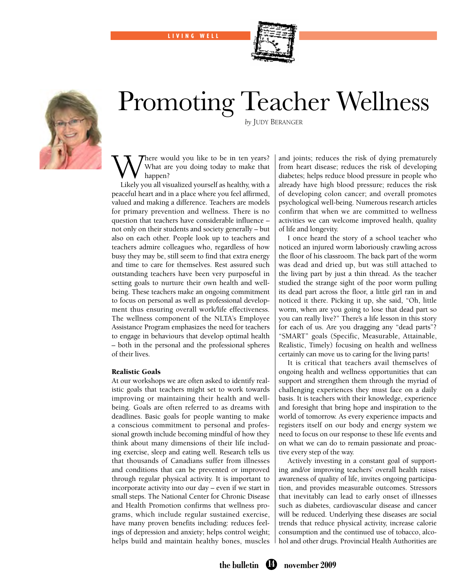LIVING WELL



# Promoting Teacher Wellness



*by* Judy Beranger

here would you like to be in ten years? What are you doing today to make that happen?

Likely you all visualized yourself as healthy, with a peaceful heart and in a place where you feel affirmed, valued and making a difference. Teachers are models for primary prevention and wellness. There is no question that teachers have considerable influence – not only on their students and society generally – but also on each other. People look up to teachers and teachers admire colleagues who, regardless of how busy they may be, still seem to find that extra energy and time to care for themselves. Rest assured such outstanding teachers have been very purposeful in setting goals to nurture their own health and wellbeing. These teachers make an ongoing commitment to focus on personal as well as professional development thus ensuring overall work/life effectiveness. The wellness component of the NLTA's Employee Assistance Program emphasizes the need for teachers to engage in behaviours that develop optimal health – both in the personal and the professional spheres of their lives.

# Realistic Goals

At our workshops we are often asked to identify realistic goals that teachers might set to work towards improving or maintaining their health and wellbeing. Goals are often referred to as dreams with deadlines. Basic goals for people wanting to make a conscious commitment to personal and professional growth include becoming mindful of how they think about many dimensions of their life including exercise, sleep and eating well. Research tells us that thousands of Canadians suffer from illnesses and conditions that can be prevented or improved through regular physical activity. It is important to incorporate activity into our day – even if we start in small steps. The National Center for Chronic Disease and Health Promotion confirms that wellness programs, which include regular sustained exercise, have many proven benefits including: reduces feelings of depression and anxiety; helps control weight; helps build and maintain healthy bones, muscles

and joints; reduces the risk of dying prematurely from heart disease; reduces the risk of developing diabetes; helps reduce blood pressure in people who already have high blood pressure; reduces the risk of developing colon cancer; and overall promotes psychological well-being. Numerous research articles confirm that when we are committed to wellness activities we can welcome improved health, quality of life and longevity.

I once heard the story of a school teacher who noticed an injured worm laboriously crawling across the floor of his classroom. The back part of the worm was dead and dried up, but was still attached to the living part by just a thin thread. As the teacher studied the strange sight of the poor worm pulling its dead part across the floor, a little girl ran in and noticed it there. Picking it up, she said, "Oh, little worm, when are you going to lose that dead part so you can really live?" There's a life lesson in this story for each of us. Are you dragging any "dead parts"? "SMART" goals (Specific, Measurable, Attainable, Realistic, Timely) focusing on health and wellness certainly can move us to caring for the living parts!

It is critical that teachers avail themselves of ongoing health and wellness opportunities that can support and strengthen them through the myriad of challenging experiences they must face on a daily basis. It is teachers with their knowledge, experience and foresight that bring hope and inspiration to the world of tomorrow. As every experience impacts and registers itself on our body and energy system we need to focus on our response to these life events and on what we can do to remain passionate and proactive every step of the way.

Actively investing in a constant goal of supporting and/or improving teachers' overall health raises awareness of quality of life, invites ongoing participation, and provides measurable outcomes. Stressors that inevitably can lead to early onset of illnesses such as diabetes, cardiovascular disease and cancer will be reduced. Underlying these diseases are social trends that reduce physical activity, increase calorie consumption and the continued use of tobacco, alcohol and other drugs. Provincial Health Authorities are